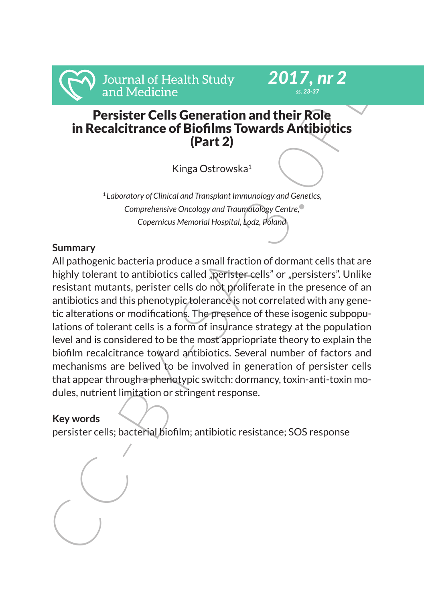

# Persister Cells Generation and their Role in Recalcitrance of Biofilms Towards Antibiotics (Part 2)

Kinga Ostrowska1

<sup>1</sup> *Laboratory ofClinical and Transplant Immunology and Genetics, Comprehensive Oncology and Traumatology Centre, Copernicus Memorial Hospital, Lodz, Poland*

## **Summary**

Journal of Health Study<br>
Persister Cells Generation and their Role<br>
in Recalcitrance of Biofilms Towards Antibiotics<br>
in Recalcitrance of Biofilms Towards Antibiotics<br>
(Part 2)<br>
Kinga Ostrowska<sup>1</sup><br>
"Laboratory of Clinical All pathogenic bacteria produce a small fraction of dormant cells that are highly tolerant to antibiotics called "perister cells" or "persisters". Unlike resistant mutants, perister cells do not proliferate in the presence of an antibiotics and this phenotypic tolerance is not correlated with any genetic alterations or modifications. The presence of these isogenic subpopulations of tolerant cells is a form of insurance strategy at the population level and is considered to be the most appriopriate theory to explain the biofilm recalcitrance toward antibiotics. Several number of factors and mechanisms are belived to be involved in generation of persister cells that appear through a phenotypic switch: dormancy, toxin-anti-toxin modules, nutrient limitation or stringent response.

## **Key words**

persister cells; bacterial biofilm; antibiotic resistance; SOS response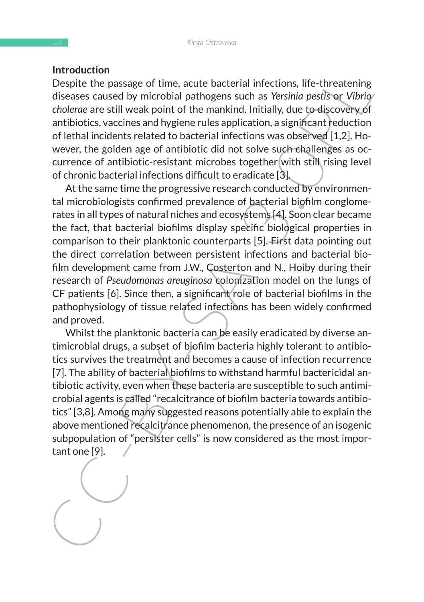#### **Introduction**

Despite the passage of time, acute bacterial infections, life-threatening diseases caused by microbial pathogens such as *Yersinia pestis* or *Vibrio cholerae* are still weak point of the mankind. Initially, due to discovery of antibiotics, vaccines and hygiene rules application, a significant reduction of lethal incidents related to bacterial infections was observed [1,2]. However, the golden age of antibiotic did not solve such challenges as occurrence of antibiotic-resistant microbes together with still rising level of chronic bacterial infections difficult to eradicate [3].

Involution<br>Increasing of time, active bacterial infections, life-threatening<br>diseases caused by microbial pathogens such as Yeisrida pesifs or Vibrio<br>diseases caused by microbial pathogens such as Yeisrida pesifs or Vibrio At the same time the progressive research conducted by environmental microbiologists confirmed prevalence of bacterial biofilm conglomerates in all types of natural niches and ecosystems [4]. Soon clear became the fact, that bacterial biofilms display specific biological properties in comparison to their planktonic counterparts [5]. First data pointing out the direct correlation between persistent infections and bacterial biofilm development came from J.W., Costerton and N., Hoiby during their research of *Pseudomonas areuginosa* colonization model on the lungs of CF patients [6]. Since then, a significant role of bacterial biofilms in the pathophysiology of tissue related infections has been widely confirmed and proved.

Whilst the planktonic bacteria can be easily eradicated by diverse antimicrobial drugs, a subset of biofilm bacteria highly tolerant to antibiotics survives the treatment and becomes a cause of infection recurrence [7]. The ability of bacterial biofilms to withstand harmful bactericidal antibiotic activity, even when these bacteria are susceptible to such antimicrobial agents is called "recalcitrance of biofilm bacteria towards antibiotics" [3,8]. Among many suggested reasons potentially able to explain the above mentioned recalcitrance phenomenon, the presence of an isogenic subpopulation of "persister cells" is now considered as the most important one [9].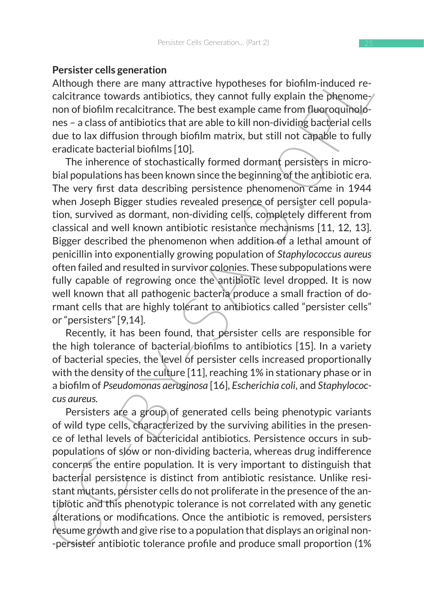#### **Persister cells generation**

Although there are many attractive hypotheses for biofilm-induced recalcitrance towards antibiotics, they cannot fully explain the phenomenon of biofilm recalcitrance. The best example came from fluoroquinolones – a class of antibiotics that are able to kill non-dividing bacterial cells due to lax diffusion through biofilm matrix, but still not capable to fully eradicate bacterial biofilms [10].

**Persister** Case generator<br>Although there are many attractive hypotheses for binfilm-induced re-<br>calcitrance towards antibiotics, they cannot fully explain the phenome-<br>non of binfilm reaclationce. The bet example came fro The inherence of stochastically formed dormant persisters in microbial populations has been known since the beginning of the antibiotic era. The very first data describing persistence phenomenon came in 1944 when Joseph Bigger studies revealed presence of persister cell population, survived as dormant, non-dividing cells, completely different from classical and well known antibiotic resistance mechanisms [11, 12, 13]. Bigger described the phenomenon when addition of a lethal amount of penicillin into exponentially growing population of *Staphylococcus aureus* often failed and resulted in survivor colonies. These subpopulations were fully capable of regrowing once the antibiotic level dropped. It is now well known that all pathogenic bacteria produce a small fraction of dormant cells that are highly tolerant to antibiotics called "persister cells" or "persisters" [9,14].

Recently, it has been found, that persister cells are responsible for the high tolerance of bacterial biofilms to antibiotics [15]. In a variety of bacterial species, the level of persister cells increased proportionally with the density of the culture [11], reaching 1% in stationary phase or in a biofilm of *Pseudomonas aeruginosa* [16], *Escherichia coli*, and *Staphylococcus aureus.*

Persisters are a group of generated cells being phenotypic variants of wild type cells, characterized by the surviving abilities in the presence of lethal levels of bactericidal antibiotics. Persistence occurs in subpopulations of slow or non-dividing bacteria, whereas drug indifference concerns the entire population. It is very important to distinguish that bacterial persistence is distinct from antibiotic resistance. Unlike resistant mutants, persister cells do not proliferate in the presence of the antibiotic and this phenotypic tolerance is not correlated with any genetic alterations or modifications. Once the antibiotic is removed, persisters resume growth and give rise to a population that displays an original non- -persister antibiotic tolerance profile and produce small proportion (1%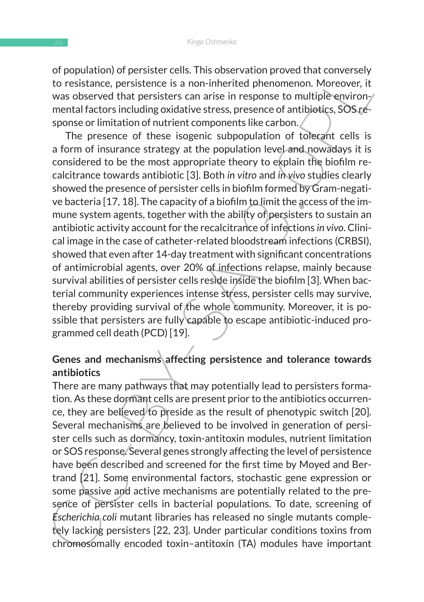of population) of persister cells. This observation proved that conversely to resistance, persistence is a non-inherited phenomenon. Moreover, it was observed that persisters can arise in response to multiple environmental factors including oxidative stress, presence of antibiotics, SOS response or limitation of nutrient components like carbon.

of population of persistence case. This observation the persistence, persistence is a non-inherited phenomenon. Moreover, it was observed that persistence is a non-inherited phenomenon. Moreover, it was observed that persi The presence of these isogenic subpopulation of tolerant cells is a form of insurance strategy at the population level and nowadays it is considered to be the most appropriate theory to explain the biofilm recalcitrance towards antibiotic [3]. Both *in vitro* and *in vivo* studies clearly showed the presence of persister cells in biofilm formed by Gram-negative bacteria [17, 18]. The capacity of a biofilm to limit the access of the immune system agents, together with the ability of persisters to sustain an antibiotic activity account for the recalcitrance of infections *in vivo*. Clinical image in the case of catheter-related bloodstream infections (CRBSI), showed that even after 14-day treatment with significant concentrations of antimicrobial agents, over 20% of infections relapse, mainly because survival abilities of persister cells reside inside the biofilm [3]. When bacterial community experiences intense stress, persister cells may survive, thereby providing survival of the whole community. Moreover, it is possible that persisters are fully capable to escape antibiotic-induced programmed cell death (PCD) [19].

## **Genes and mechanisms affecting persistence and tolerance towards antibiotics**

There are many pathways that may potentially lead to persisters formation. As these dormant cells are present prior to the antibiotics occurrence, they are believed to preside as the result of phenotypic switch [20]. Several mechanisms are believed to be involved in generation of persister cells such as dormancy, toxin-antitoxin modules, nutrient limitation or SOS response. Several genes strongly affecting the level of persistence have been described and screened for the first time by Moyed and Bertrand [21]. Some environmental factors, stochastic gene expression or some passive and active mechanisms are potentially related to the presence of persister cells in bacterial populations. To date, screening of *Escherichia coli* mutant libraries has released no single mutants completely lacking persisters [22, 23]. Under particular conditions toxins from chromosomally encoded toxin–antitoxin (TA) modules have important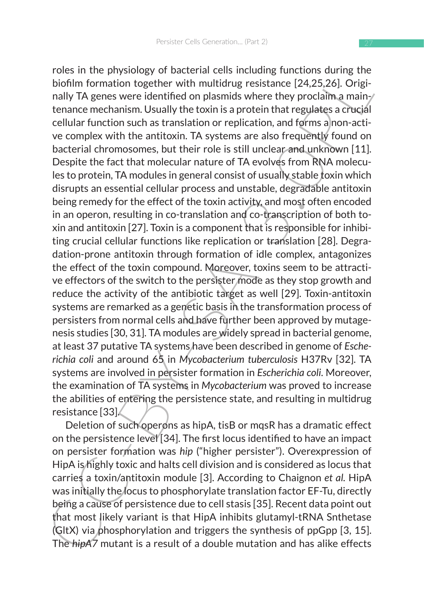Fuses in the physiology or bacterial estis including intricutions units biofilm formation together with multidrug resistance [24,25,26]. Originally TA genes were identified on plasmids where they proclaim, anainy tensual t roles in the physiology of bacterial cells including functions during the biofilm formation together with multidrug resistance [24,25,26]. Originally TA genes were identified on plasmids where they proclaim a maintenance mechanism. Usually the toxin is a protein that regulates a crucial cellular function such as translation or replication, and forms a non-active complex with the antitoxin. TA systems are also frequently found on bacterial chromosomes, but their role is still unclear and unknown [11]. Despite the fact that molecular nature of TA evolves from RNA molecules to protein, TA modules in general consist of usually stable toxin which disrupts an essential cellular process and unstable, degradable antitoxin being remedy for the effect of the toxin activity, and most often encoded in an operon, resulting in co-translation and co-transcription of both toxin and antitoxin [27]. Toxin is a component that is responsible for inhibiting crucial cellular functions like replication or translation [28]. Degradation-prone antitoxin through formation of idle complex, antagonizes the effect of the toxin compound. Moreover, toxins seem to be attractive effectors of the switch to the persister mode as they stop growth and reduce the activity of the antibiotic target as well [29]. Toxin-antitoxin systems are remarked as a genetic basis in the transformation process of persisters from normal cells and have further been approved by mutagenesis studies [30, 31]. TA modules are widely spread in bacterial genome, at least 37 putative TA systems have been described in genome of *Escherichia coli* and around 65 in *Mycobacterium tuberculosis* H37Rv [32]. TA systems are involved in persister formation in *Escherichia coli*. Moreover, the examination of TA systems in *Mycobacterium* was proved to increase the abilities of entering the persistence state, and resulting in multidrug resistance [33].

Deletion of such operons as hipA, tisB or mqsR has a dramatic effect on the persistence level [34]. The first locus identified to have an impact on persister formation was *hip* ("higher persister"). Overexpression of HipA is highly toxic and halts cell division and is considered as locus that carries a toxin/antitoxin module [3]. According to Chaignon *et al.* HipA was initially the locus to phosphorylate translation factor EF-Tu, directly being a cause of persistence due to cell stasis [35]. Recent data point out that most likely variant is that HipA inhibits glutamyl-tRNA Snthetase (GltX) via phosphorylation and triggers the synthesis of ppGpp [3, 15]. The *hipA7* mutant is a result of a double mutation and has alike effects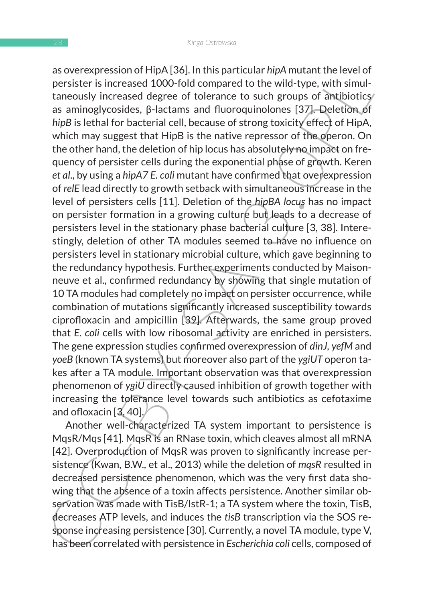as overky resolution the particular material mpacticular metallemination the several metallity in respectively. In this implementation of the wild-type, with simultaneously increased d000-fold compared to the wild-type, wi as overexpression of HipA [36]. In this particular *hipA* mutant the level of persister is increased 1000-fold compared to the wild-type, with simultaneously increased degree of tolerance to such groups of antibiotics as aminoglycosides, β-lactams and fluoroquinolones [37]. Deletion of *hipB* is lethal for bacterial cell, because of strong toxicity effect of HipA, which may suggest that HipB is the native repressor of the operon. On the other hand, the deletion of hip locus has absolutely no impact on frequency of persister cells during the exponential phase of growth. Keren *et al*., by using a *hipA7 E. coli* mutant have confirmed that overexpression of *relE* lead directly to growth setback with simultaneous increase in the level of persisters cells [11]. Deletion of the *hipBA locus* has no impact on persister formation in a growing culture but leads to a decrease of persisters level in the stationary phase bacterial culture [3, 38]. Interestingly, deletion of other TA modules seemed to have no influence on persisters level in stationary microbial culture, which gave beginning to the redundancy hypothesis. Further experiments conducted by Maisonneuve et al., confirmed redundancy by showing that single mutation of 10 TA modules had completely no impact on persister occurrence, while combination of mutations significantly increased susceptibility towards ciprofloxacin and ampicillin [39]. Afterwards, the same group proved that *E. coli* cells with low ribosomal activity are enriched in persisters. The gene expression studies confirmed overexpression of *dinJ, yefM* and *yoeB* (known TA systems) but moreover also part of the *ygiUT* operon takes after a TA module. Important observation was that overexpression phenomenon of *ygiU* directly caused inhibition of growth together with increasing the tolerance level towards such antibiotics as cefotaxime and ofloxacin [3, 40].

Another well-characterized TA system important to persistence is MqsR/Mqs [41]. MqsR is an RNase toxin, which cleaves almost all mRNA [42]. Overproduction of MqsR was proven to significantly increase persistence (Kwan, B.W., et al., 2013) while the deletion of *mqsR* resulted in decreased persistence phenomenon, which was the very first data showing that the absence of a toxin affects persistence. Another similar observation was made with TisB/IstR-1; a TA system where the toxin, TisB, decreases ATP levels, and induces the *tisB* transcription via the SOS response increasing persistence [30]. Currently, a novel TA module, type V, has been correlated with persistence in *Escherichia coli* cells, composed of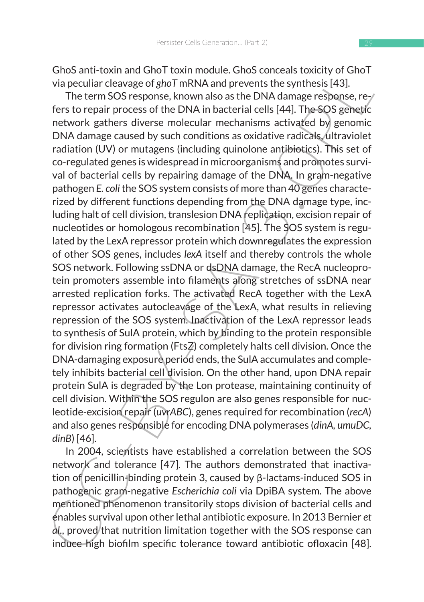GhoS anti-toxin and GhoT toxin module. GhoS conceals toxicity of GhoT via peculiar cleavage of *ghoT* mRNA and prevents the synthesis [43].

Strass anti-cosmi and solic of the DNA modulus. Since the Same treative and since the DNA damage response, re-<br>
free tro repair process of the DNA damage response, re-<br>
free tro repair process of the DNA damage response, r The term SOS response, known also as the DNA damage response, refers to repair process of the DNA in bacterial cells [44]. The SOS genetic network gathers diverse molecular mechanisms activated by genomic DNA damage caused by such conditions as oxidative radicals, ultraviolet radiation (UV) or mutagens (including quinolone antibiotics). This set of co-regulated genes is widespread in microorganisms and promotes survival of bacterial cells by repairing damage of the DNA. In gram-negative pathogen *E. coli* the SOS system consists of more than 40 genes characterized by different functions depending from the DNA damage type, including halt of cell division, translesion DNA replication, excision repair of nucleotides or homologous recombination [45]. The SOS system is regulated by the LexA repressor protein which downregulates the expression of other SOS genes, includes *lexA* itself and thereby controls the whole SOS network. Following ssDNA or dsDNA damage, the RecA nucleoprotein promoters assemble into filaments along stretches of ssDNA near arrested replication forks. The activated RecA together with the LexA repressor activates autocleavage of the LexA, what results in relieving repression of the SOS system. Inactivation of the LexA repressor leads to synthesis of SulA protein, which by binding to the protein responsible for division ring formation (FtsZ) completely halts cell division. Once the DNA-damaging exposure period ends, the SulA accumulates and completely inhibits bacterial cell division. On the other hand, upon DNA repair protein SulA is degraded by the Lon protease, maintaining continuity of cell division. Within the SOS regulon are also genes responsible for nucleotide-excision repair (*uvrABC*), genes required for recombination (*recA*) and also genes responsible for encoding DNA polymerases (*dinA, umuDC, dinB*) [46].

In 2004, scientists have established a correlation between the SOS network and tolerance [47]. The authors demonstrated that inactivation of penicillin-binding protein 3, caused by β-lactams-induced SOS in pathogenic gram-negative *Escherichia coli* via DpiBA system. The above mentioned phenomenon transitorily stops division of bacterial cells and enables survival upon other lethal antibiotic exposure. In 2013 Bernier *et al.*, proved that nutrition limitation together with the SOS response can induce high biofilm specific tolerance toward antibiotic ofloxacin [48].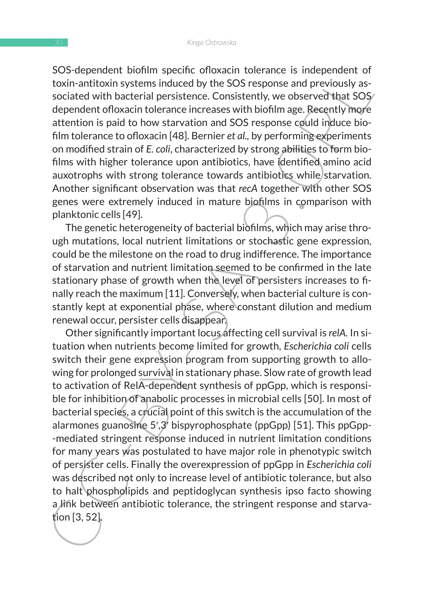SOS-dependent biofilm specific ofloxacin tolerance is independent of toxin-antitoxin systems induced by the SOS response and previously associated with bacterial persistence. Consistently, we observed that SOS/ dependent ofloxacin tolerance increases with biofilm age. Recently more attention is paid to how starvation and SOS response could induce biofilm tolerance to ofloxacin [48]. Bernier *et al.,* by performing experiments on modified strain of *E. coli*, characterized by strong abilities to form biofilms with higher tolerance upon antibiotics, have identified amino acid auxotrophs with strong tolerance towards antibiotics while starvation. Another significant observation was that *recA* together with other SOS genes were extremely induced in mature biofilms in comparison with planktonic cells [49].

The genetic heterogeneity of bacterial biofilms, which may arise through mutations, local nutrient limitations or stochastic gene expression, could be the milestone on the road to drug indifference. The importance of starvation and nutrient limitation seemed to be confirmed in the late stationary phase of growth when the level of persisters increases to finally reach the maximum [11]. Conversely, when bacterial culture is constantly kept at exponential phase, where constant dilution and medium renewal occur, persister cells disappear.

503-superinter uniming specific consection to encosing the consideration of the strained to this algorith to this dependent of the strained by the SOS response and previously associated with bacterial persistence. Consiste Other significantly important locus affecting cell survival is *relA.* In situation when nutrients become limited for growth, *Escherichia coli* cells switch their gene expression program from supporting growth to allowing for prolonged survival in stationary phase. Slow rate of growth lead to activation of RelA-dependent synthesis of ppGpp, which is responsible for inhibition of anabolic processes in microbial cells [50]. In most of bacterial species, a crucial point of this switch is the accumulation of the alarmones guanosine 5',  $3<sup>j</sup>$  bispyrophosphate (ppGpp) [51]. This ppGpp--mediated stringent response induced in nutrient limitation conditions for many years was postulated to have major role in phenotypic switch of persister cells. Finally the overexpression of ppGpp in *Escherichia coli*  was described not only to increase level of antibiotic tolerance, but also to halt phospholipids and peptidoglycan synthesis ipso facto showing a link between antibiotic tolerance, the stringent response and starvation [3, 52].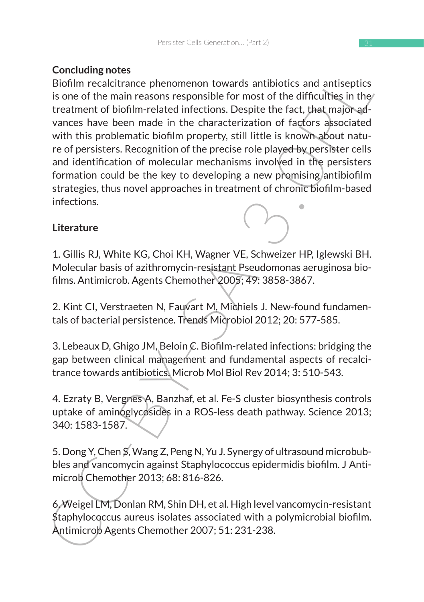### **Concluding notes**

Concluding mouss<br>
Etiofilm recalcitrance phenomenon towards antibiotics and antiseptics<br>
is one of the main reasons responsible for most of the difficulties in the<br>
treatment of biofilm repeated infections. Despite the fac Biofilm recalcitrance phenomenon towards antibiotics and antiseptics is one of the main reasons responsible for most of the difficulties in the treatment of biofilm-related infections. Despite the fact, that major advances have been made in the characterization of factors associated with this problematic biofilm property, still little is known about nature of persisters. Recognition of the precise role played by persister cells and identification of molecular mechanisms involved in the persisters formation could be the key to developing a new promising antibiofilm strategies, thus novel approaches in treatment of chronic biofilm-based infections.

### **Literature**

1. Gillis RJ, White KG, Choi KH, Wagner VE, Schweizer HP, Iglewski BH. Molecular basis of azithromycin-resistant Pseudomonas aeruginosa biofilms. Antimicrob. Agents Chemother 2005; 49: 3858-3867.

2. Kint CI, Verstraeten N, Fauvart M, Michiels J. New-found fundamentals of bacterial persistence. Trends Microbiol 2012; 20: 577-585.

3. Lebeaux D, Ghigo JM, Beloin C. Biofilm-related infections: bridging the gap between clinical management and fundamental aspects of recalcitrance towards antibiotics. Microb Mol Biol Rev 2014; 3: 510-543.

4. Ezraty B, Vergnes A, Banzhaf, et al. Fe-S cluster biosynthesis controls uptake of aminoglycosides in a ROS-less death pathway. Science 2013; 340: 1583-1587.

5. Dong Y, Chen S, Wang Z, Peng N, Yu J. Synergy of ultrasound microbubbles and vancomycin against Staphylococcus epidermidis biofilm. J Antimicrob Chemother 2013; 68: 816-826.

6. Weigel LM, Donlan RM, Shin DH, et al. High level vancomycin-resistant Staphylococcus aureus isolates associated with a polymicrobial biofilm. Antimicrob Agents Chemother 2007; 51: 231-238.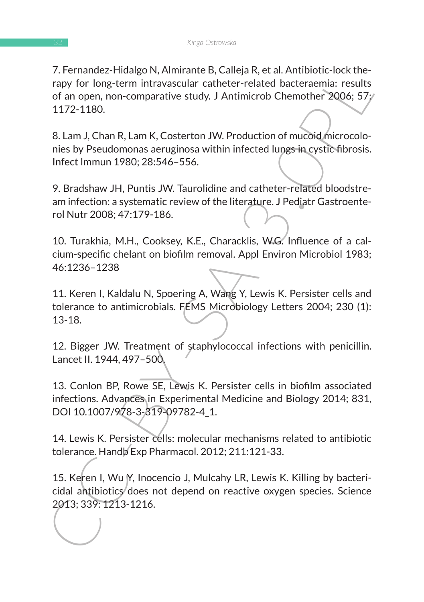7. Ferinalize-Toulago is, Ammatine is, calega it, et al. Antiunoutic-lock in<br>
rapy for long-term intravascular catheter-related bacteraemia: results<br>
of an open, non-comparative study. J Antimicrob Chemother 2006: 57/<br>
117 7. Fernandez-Hidalgo N, Almirante B, Calleja R, et al. Antibiotic-lock therapy for long-term intravascular catheter-related bacteraemia: results of an open, non-comparative study. J Antimicrob Chemother 2006; 57: 1172-1180.

8. Lam J, Chan R, Lam K, Costerton JW. Production of mucoid microcolonies by Pseudomonas aeruginosa within infected lungs in cystic fibrosis. Infect Immun 1980; 28:546–556.

9. Bradshaw JH, Puntis JW. Taurolidine and catheter-related bloodstream infection: a systematic review of the literature. J Pediatr Gastroenterol Nutr 2008; 47:179-186.

10. Turakhia, M.H., Cooksey, K.E., Characklis, W.G. Influence of a calcium-specific chelant on biofilm removal. Appl Environ Microbiol 1983; 46:1236–1238

11. Keren I, Kaldalu N, Spoering A, Wang Y, Lewis K. Persister cells and tolerance to antimicrobials. FEMS Microbiology Letters 2004; 230 (1): 13-18.

12. Bigger JW. Treatment of staphylococcal infections with penicillin. Lancet II. 1944, 497–500.

13. Conlon BP, Rowe SE, Lewis K. Persister cells in biofilm associated infections. Advances in Experimental Medicine and Biology 2014; 831, DOI 10.1007/978-3-319-09782-4\_1.

14. Lewis K. Persister cells: molecular mechanisms related to antibiotic tolerance. Handb Exp Pharmacol. 2012; 211:121-33.

15. Keren I, Wu Y, Inocencio J, Mulcahy LR, Lewis K. Killing by bactericidal antibiotics does not depend on reactive oxygen species. Science 2013; 339: 1213-1216.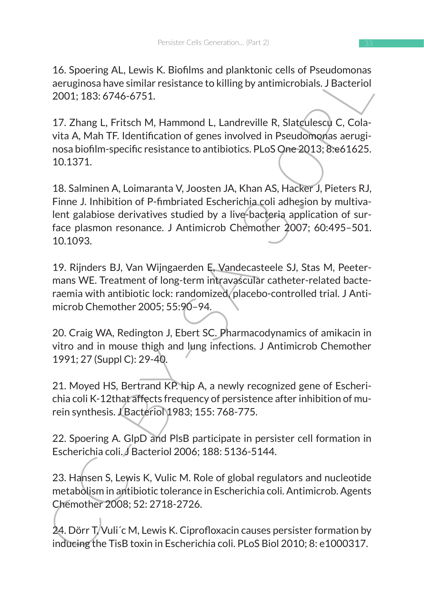16. Spoering AL, Lewis K. Biofilms and planktonic cells of Pseudomonas aeruginosa have similar resistance to killing by antimicrobials. J Bacteriol 2001; 183: 6746-6751.

17. Zhang L, Fritsch M, Hammond L, Landreville R, Slatculescu C, Colavita A, Mah TF. Identification of genes involved in Pseudomonas aeruginosa biofilm-specific resistance to antibiotics. PLoS One 2013; 8:e61625. 10.1371.

10. sporenny Art, esson in Mantholm and planettonic Cents of P-setudionions<br>are uginosa have similar resistance to killing by antimicrobials. J Bacteriol<br>2001; 183: 6746-6751.<br>17. Zhang L, Fritsch M, Hammond L, Landreville 18. Salminen A, Loimaranta V, Joosten JA, Khan AS, Hacker J, Pieters RJ, Finne J. Inhibition of P-fimbriated Escherichia coli adhesion by multivalent galabiose derivatives studied by a live-bacteria application of surface plasmon resonance. J Antimicrob Chemother 2007; 60:495–501. 10.1093.

19. Rijnders BJ, Van Wijngaerden E, Vandecasteele SJ, Stas M, Peetermans WE. Treatment of long-term intravascular catheter-related bacteraemia with antibiotic lock: randomized, placebo-controlled trial. J Antimicrob Chemother 2005; 55:90–94.

20. Craig WA, Redington J, Ebert SC. Pharmacodynamics of amikacin in vitro and in mouse thigh and lung infections. J Antimicrob Chemother 1991; 27 (Suppl C): 29-40.

21. Moyed HS, Bertrand KP. hip A, a newly recognized gene of Escherichia coli K-12that affects frequency of persistence after inhibition of murein synthesis. J Bacteriol 1983; 155: 768-775.

22. Spoering A. GlpD and PlsB participate in persister cell formation in Escherichia coli. J Bacteriol 2006; 188: 5136-5144.

23. Hansen S, Lewis K, Vulic M. Role of global regulators and nucleotide metabolism in antibiotic tolerance in Escherichia coli. Antimicrob. Agents Chemother 2008; 52: 2718-2726.

24. Dörr T. Vuli'c M, Lewis K. Ciprofloxacin causes persister formation by inducing the TisB toxin in Escherichia coli. PLoS Biol 2010; 8: e1000317.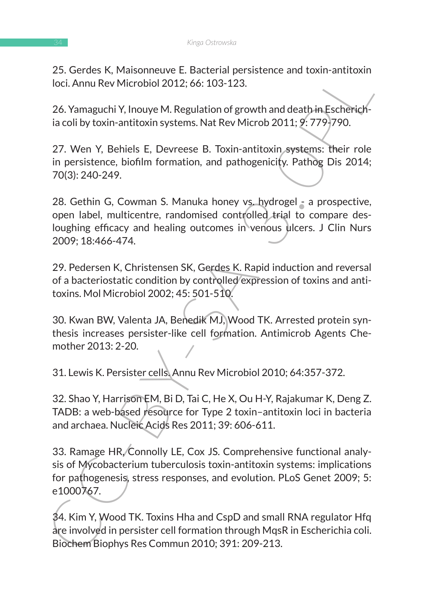25. Gerdes K, Maisonneuve E. Bacterial persistence and toxin-antitoxin loci. Annu Rev Microbiol 2012; 66: 103-123.

26. Yamaguchi Y, Inouye M. Regulation of growth and death in Escherichia coli by toxin-antitoxin systems. Nat Rev Microb 2011; 9: 779-790.

27. Wen Y, Behiels E, Devreese B. Toxin-antitoxin systems: their role in persistence, biofilm formation, and pathogenicity. Pathog Dis 2014; 70(3): 240-249.

28. Gethin G, Cowman S. Manuka honey vs. hydrogel - a prospective, open label, multicentre, randomised controlled trial to compare desloughing efficacy and healing outcomes in venous ulcers. J Clin Nurs 2009; 18:466-474.

29. Pedersen K, Christensen SK, Gerdes K. Rapid induction and reversal of a bacteriostatic condition by controlled expression of toxins and antitoxins. Mol Microbiol 2002; 45: 501-510.

30. Kwan BW, Valenta JA, Benedik MJ, Wood TK. Arrested protein synthesis increases persister-like cell formation. Antimicrob Agents Chemother 2013: 2-20.

31. Lewis K. Persister cells. Annu Rev Microbiol 2010; 64:357-372.

32. Shao Y, Harrison EM, Bi D, Tai C, He X, Ou H-Y, Rajakumar K, Deng Z. TADB: a web-based resource for Type 2 toxin–antitoxin loci in bacteria and archaea. Nucleic Acids Res 2011; 39: 606-611.

2.3. Gerdess R, Waalsonmeure c. Bacteriar persistence and uoxin-antitoxin<br>
Loci. Annu Rev Microbiol 2012; 66: 103-123.<br>
26. Yamaguchi Y, Inouye M. Regulation of growth and death in Escherich-<br>
ia coll by toxin-antitoxin sy 33. Ramage HR, Connolly LE, Cox JS. Comprehensive functional analysis of Mycobacterium tuberculosis toxin-antitoxin systems: implications for pathogenesis, stress responses, and evolution. PLoS Genet 2009; 5: e1000767.

34. Kim Y, Wood TK. Toxins Hha and CspD and small RNA regulator Hfq are involved in persister cell formation through MqsR in Escherichia coli. Biochem Biophys Res Commun 2010; 391: 209-213.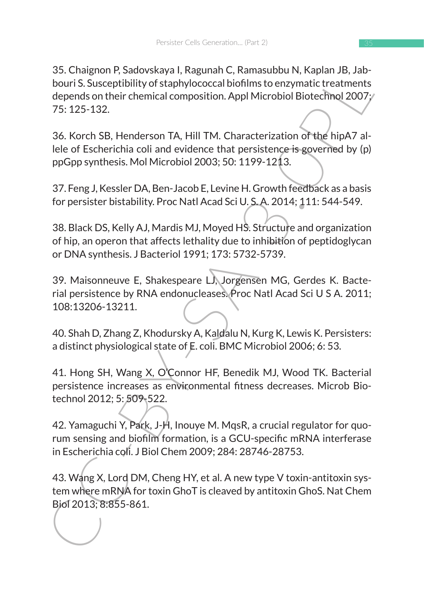So. Cualignori P, saluxyskay I, Kagnilari, C, Railasubuar W, Naplari D6, Jal-<br>Sourci's Susceptibility of staphylococcal bioflims to enzymatic treatments<br>depends on their chemical composition. Appli Nicrobiol Biotechnol 200 35. Chaignon P, Sadovskaya I, Ragunah C, Ramasubbu N, Kaplan JB, Jabbouri S. Susceptibility of staphylococcal biofilms to enzymatic treatments depends on their chemical composition. Appl Microbiol Biotechnol 2007; 75: 125-132.

36. Korch SB, Henderson TA, Hill TM. Characterization of the hipA7 allele of Escherichia coli and evidence that persistence is governed by (p) ppGpp synthesis. Mol Microbiol 2003; 50: 1199-1213.

37. Feng J, Kessler DA, Ben-Jacob E, Levine H. Growth feedback as a basis for persister bistability. Proc Natl Acad Sci U. S. A. 2014; 111: 544-549.

38. Black DS, Kelly AJ, Mardis MJ, Moyed HS. Structure and organization of hip, an operon that affects lethality due to inhibition of peptidoglycan or DNA synthesis. J Bacteriol 1991; 173: 5732-5739.

39. Maisonneuve E, Shakespeare LJ, Jorgensen MG, Gerdes K. Bacterial persistence by RNA endonucleases. Proc Natl Acad Sci U S A. 2011; 108:13206-13211.

40. Shah D, Zhang Z, Khodursky A, Kaldalu N, Kurg K, Lewis K. Persisters: a distinct physiological state of E. coli. BMC Microbiol 2006; 6: 53.

41. Hong SH, Wang X, O'Connor HF, Benedik MJ, Wood TK. Bacterial persistence increases as environmental fitness decreases. Microb Biotechnol 2012; 5: 509-522.

42. Yamaguchi Y, Park, J-H, Inouye M. MqsR, a crucial regulator for quorum sensing and biofilm formation, is a GCU-specific mRNA interferase in Escherichia coli. J Biol Chem 2009; 284: 28746-28753.

43. Wang X, Lord DM, Cheng HY, et al. A new type V toxin-antitoxin system where mRNA for toxin GhoT is cleaved by antitoxin GhoS. Nat Chem Biol 2013; 8:855-861.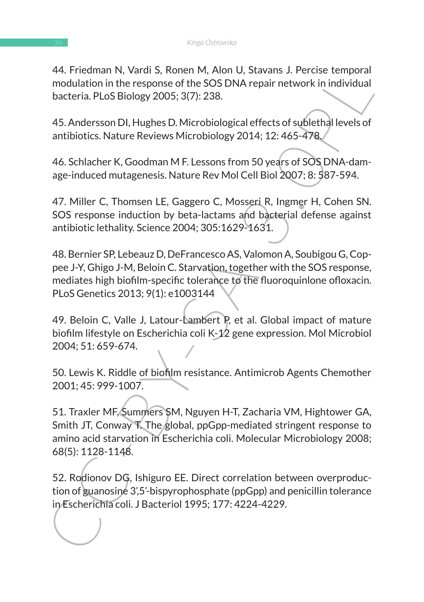44. Friedman N, Vardi S, Ronen M, Alon U, Stavans J. Percise temporal modulation in the response of the SOS DNA repair network in individual bacteria. PLoS Biology 2005; 3(7): 238.

45. Andersson DI, Hughes D. Microbiological effects of sublethal levels of antibiotics. Nature Reviews Microbiology 2014; 12: 465-478.

46. Schlacher K, Goodman M F. Lessons from 50 years of SOS DNA-damage-induced mutagenesis. Nature Rev Mol Cell Biol 2007; 8: 587-594.

47. Miller C, Thomsen LE, Gaggero C, Mosseri R, Ingmer H, Cohen SN. SOS response induction by beta-lactams and bacterial defense against antibiotic lethality. Science 2004; 305:1629-1631.

48. Bernier SP, Lebeauz D, DeFrancesco AS, Valomon A, Soubigou G, Coppee J-Y, Ghigo J-M, Beloin C. Starvation, together with the SOS response, mediates high biofilm-specific tolerance to the fluoroquinlone ofloxacin. PLoS Genetics 2013; 9(1): e1003144

49. Beloin C, Valle J, Latour-Lambert P, et al. Global impact of mature biofilm lifestyle on Escherichia coli K-12 gene expression. Mol Microbiol 2004; 51: 659-674.

50. Lewis K. Riddle of biofilm resistance. Antimicrob Agents Chemother 2001; 45: 999-1007.

44. Freunant N, vardt 3. Robert Nr, Aion O, Stavalas J. Perckse temporal<br>modulation in the response of the SOS DNA repair network in individual<br>bacteria. PLoS Biology 2005; 3(7): 238.<br>45. Andersson DI, Hughes D. Microbiolo 51. Traxler MF, Summers SM, Nguyen H-T, Zacharia VM, Hightower GA, Smith JT, Conway T. The global, ppGpp-mediated stringent response to amino acid starvation in Escherichia coli. Molecular Microbiology 2008; 68(5): 1128-1148.

52. Rodionov DG, Ishiguro EE. Direct correlation between overproduction of guanosine 3',5'-bispyrophosphate (ppGpp) and penicillin tolerance in Escherichia coli. J Bacteriol 1995; 177: 4224-4229.